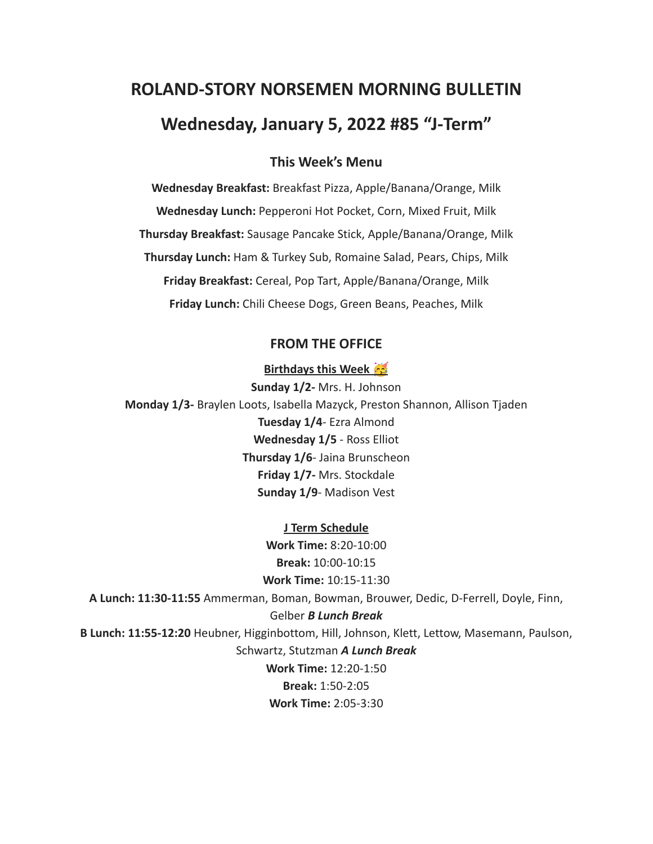# **ROLAND-STORY NORSEMEN MORNING BULLETIN Wednesday, January 5, 2022 #85 "J-Term"**

## **This Week's Menu**

**Wednesday Breakfast:** Breakfast Pizza, Apple/Banana/Orange, Milk **Wednesday Lunch:** Pepperoni Hot Pocket, Corn, Mixed Fruit, Milk **Thursday Breakfast:** Sausage Pancake Stick, Apple/Banana/Orange, Milk **Thursday Lunch:** Ham & Turkey Sub, Romaine Salad, Pears, Chips, Milk **Friday Breakfast:** Cereal, Pop Tart, Apple/Banana/Orange, Milk **Friday Lunch:** Chili Cheese Dogs, Green Beans, Peaches, Milk

### **FROM THE OFFICE**

#### **Birthdays this Week**

**Sunday 1/2-** Mrs. H. Johnson **Monday 1/3-** Braylen Loots, Isabella Mazyck, Preston Shannon, Allison Tjaden **Tuesday 1/4**- Ezra Almond **Wednesday 1/5** - Ross Elliot **Thursday 1/6**- Jaina Brunscheon **Friday 1/7-** Mrs. Stockdale **Sunday 1/9**- Madison Vest

**J Term Schedule Work Time:** 8:20-10:00 **Break:** 10:00-10:15 **Work Time:** 10:15-11:30 **A Lunch: 11:30-11:55** Ammerman, Boman, Bowman, Brouwer, Dedic, D-Ferrell, Doyle, Finn, Gelber *B Lunch Break* **B Lunch: 11:55-12:20** Heubner, Higginbottom, Hill, Johnson, Klett, Lettow, Masemann, Paulson, Schwartz, Stutzman *A Lunch Break* **Work Time:** 12:20-1:50 **Break:** 1:50-2:05 **Work Time:** 2:05-3:30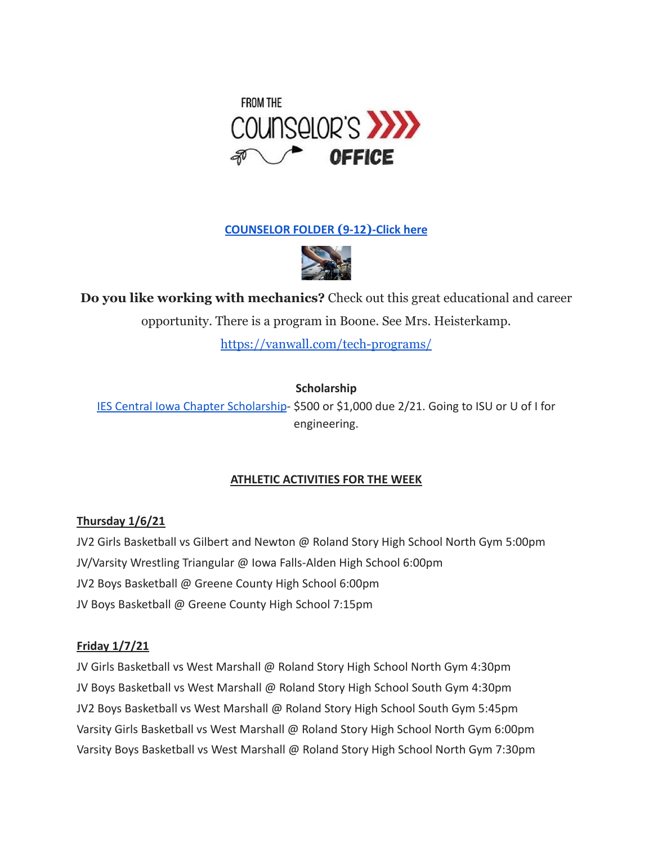

**[COUNSELOR FOLDER](https://docs.google.com/document/d/1vmwczNPbDzXe9vFaG5LJMQ7NYDv-i4oQJHybqA65TUc/edit?usp=sharing) (9-12)-Click here**



**Do you like working with mechanics?** Check out this great educational and career

opportunity. There is a program in Boone. See Mrs. Heisterkamp.

<https://vanwall.com/tech-programs/>

**Scholarship**

[IES Central Iowa Chapter Scholarship](https://drive.google.com/file/d/1TOCO584mY9ObCqCNa6kBs_Yjrn4wPSdj/view?usp=sharing)- \$500 or \$1,000 due 2/21. Going to ISU or U of I for engineering.

# **ATHLETIC ACTIVITIES FOR THE WEEK**

# **Thursday 1/6/21**

JV2 Girls Basketball vs Gilbert and Newton @ Roland Story High School North Gym 5:00pm JV/Varsity Wrestling Triangular @ Iowa Falls-Alden High School 6:00pm JV2 Boys Basketball @ Greene County High School 6:00pm JV Boys Basketball @ Greene County High School 7:15pm

## **Friday 1/7/21**

JV Girls Basketball vs West Marshall @ Roland Story High School North Gym 4:30pm JV Boys Basketball vs West Marshall @ Roland Story High School South Gym 4:30pm JV2 Boys Basketball vs West Marshall @ Roland Story High School South Gym 5:45pm Varsity Girls Basketball vs West Marshall @ Roland Story High School North Gym 6:00pm Varsity Boys Basketball vs West Marshall @ Roland Story High School North Gym 7:30pm